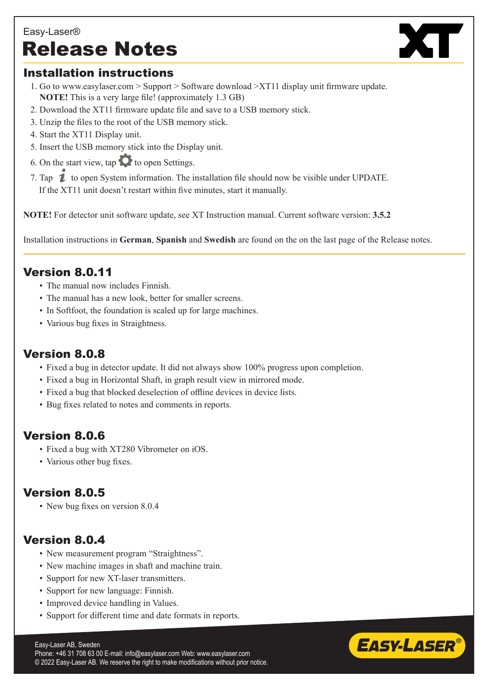#### Easy-Laser®

# Release Notes

## Installation instructions

- 1. Go to www.easylaser.com  $>$  Support  $>$  Software download  $>$ XT11 display unit firmware update. **NOTE!** This is a very large file! (approximately 1.3 GB)
- 2. Download the XT11 firmware update file and save to a USB memory stick.
- 3. Unzip the files to the root of the USB memory stick.
- 4. Start the XT11 Display unit.
- 5. Insert the USB memory stick into the Display unit.
- 6. On the start view, tap  $\bullet$  to open Settings.
- 7. Tap  $\hat{\mathcal{L}}$  to open System information. The installation file should now be visible under UPDATE. If the XT11 unit doesn't restart within five minutes, start it manually.

**NOTE!** For detector unit software update, see XT Instruction manual. Current software version: **3.5.2**

Installation instructions in **German**, **Spanish** and **Swedish** are found on the on the last page of the Release notes.

### Version 8.0.11

- The manual now includes Finnish.
- The manual has a new look, better for smaller screens.
- In Softfoot, the foundation is scaled up for large machines.
- Various bug fixes in Straightness.

### Version 8.0.8

- Fixed a bug in detector update. It did not always show 100% progress upon completion.
- Fixed a bug in Horizontal Shaft, in graph result view in mirrored mode.
- Fixed a bug that blocked deselection of offline devices in device lists.
- Bug fixes related to notes and comments in reports.

### Version 8.0.6

- Fixed a bug with XT280 Vibrometer on iOS.
- Various other bug fixes.

### Version 8.0.5

• New bug fixes on version 8.0.4

### Version 8.0.4

- New measurement program "Straightness".
- New machine images in shaft and machine train.
- Support for new XT-laser transmitters.
- Support for new language: Finnish.
- Improved device handling in Values.
- Support for different time and date formats in reports.

#### Easy-Laser AB, Sweden

Phone: +46 31 708 63 00 E-mail: info@easylaser.com Web: www.easylaser.com © 2022 Easy-Laser AB. We reserve the right to make modifications without prior notice.



XT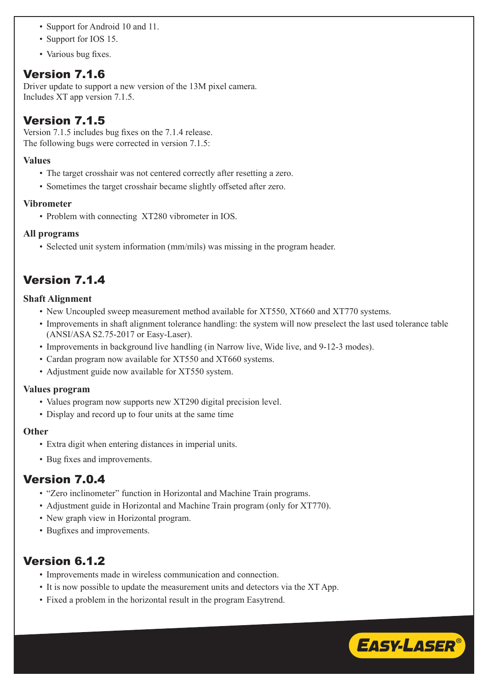- Support for Android 10 and 11.
- Support for IOS 15.
- Various bug fixes.

#### Version 7.1.6

Driver update to support a new version of the 13M pixel camera. Includes XT app version 7.1.5.

### Version 7.1.5

Version 7.1.5 includes bug fixes on the 7.1.4 release. The following bugs were corrected in version 7.1.5:

#### **Values**

- The target crosshair was not centered correctly after resetting a zero.
- Sometimes the target crosshair became slightly offseted after zero.

#### **Vibrometer**

• Problem with connecting XT280 vibrometer in IOS.

#### **All programs**

• Selected unit system information (mm/mils) was missing in the program header.

### Version 7.1.4

#### **Shaft Alignment**

- New Uncoupled sweep measurement method available for XT550, XT660 and XT770 systems.
- Improvements in shaft alignment tolerance handling: the system will now preselect the last used tolerance table (ANSI/ASA S2.75-2017 or Easy-Laser).
- Improvements in background live handling (in Narrow live, Wide live, and 9-12-3 modes).
- Cardan program now available for XT550 and XT660 systems.
- Adjustment guide now available for XT550 system.

#### **Values program**

- Values program now supports new XT290 digital precision level.
- Display and record up to four units at the same time

#### **Other**

- Extra digit when entering distances in imperial units.
- Bug fixes and improvements.

### Version 7.0.4

- "Zero inclinometer" function in Horizontal and Machine Train programs.
- Adjustment guide in Horizontal and Machine Train program (only for XT770).
- New graph view in Horizontal program.
- Bugfixes and improvements.

### Version 6.1.2

- Improvements made in wireless communication and connection.
- It is now possible to update the measurement units and detectors via the XT App.
- Fixed a problem in the horizontal result in the program Easytrend.

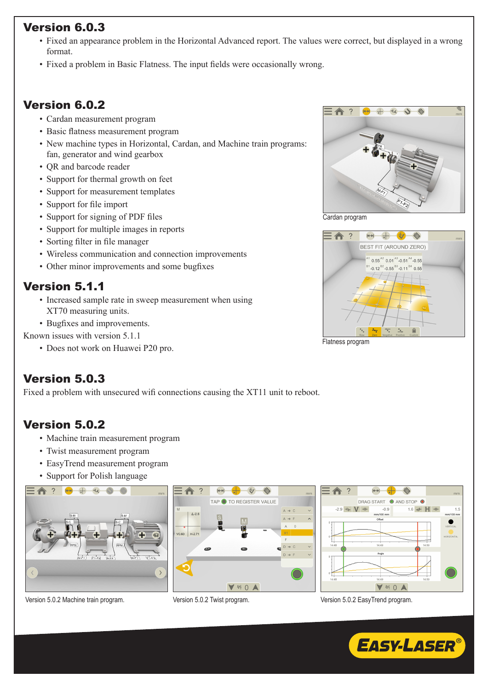### Version 6.0.3

- Fixed an appearance problem in the Horizontal Advanced report. The values were correct, but displayed in a wrong format.
- Fixed a problem in Basic Flatness. The input fields were occasionally wrong.

### Version 6.0.2

- Cardan measurement program
- Basic flatness measurement program
- New machine types in Horizontal, Cardan, and Machine train programs: fan, generator and wind gearbox
- QR and barcode reader
- Support for thermal growth on feet
- Support for measurement templates
- Support for file import
- Support for signing of PDF files
- Support for multiple images in reports
- Sorting filter in file manager
- Wireless communication and connection improvements
- Other minor improvements and some bugfixes

#### Version 5.1.1

- Increased sample rate in sweep measurement when using XT70 measuring units.
- Bugfixes and improvements.

Known issues with version 5.1.1

• Does not work on Huawei P20 pro.





Flatness program

### Version 5.0.3

Fixed a problem with unsecured wifi connections causing the XT11 unit to reboot.

### Version 5.0.2

- Machine train measurement program
- Twist measurement program
- EasyTrend measurement program
- Support for Polish language







Version 5.0.2 Machine train program. Version 5.0.2 Twist program. Version 5.0.2 EasyTrend program.

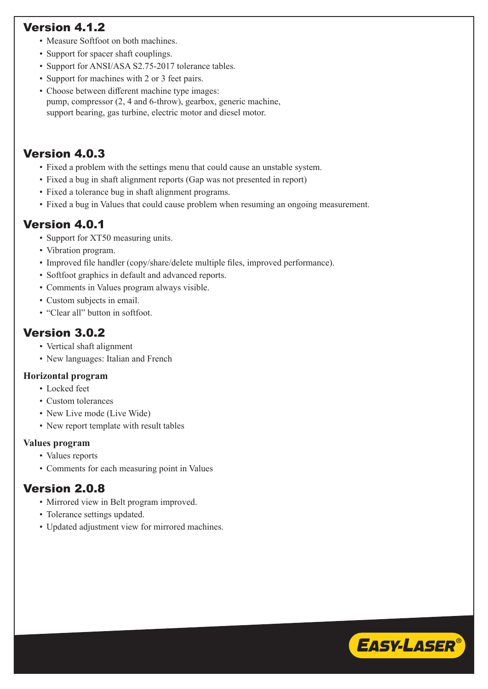### Version 4.1.2

- Measure Softfoot on both machines.
- Support for spacer shaft couplings.
- Support for ANSI/ASA S2.75-2017 tolerance tables.
- Support for machines with 2 or 3 feet pairs.
- Choose between different machine type images: pump, compressor (2, 4 and 6-throw), gearbox, generic machine, support bearing, gas turbine, electric motor and diesel motor.

### Version 4.0.3

- Fixed a problem with the settings menu that could cause an unstable system.
- Fixed a bug in shaft alignment reports (Gap was not presented in report)
- Fixed a tolerance bug in shaft alignment programs.
- Fixed a bug in Values that could cause problem when resuming an ongoing measurement.

### Version 4.0.1

- Support for XT50 measuring units.
- Vibration program.
- Improved file handler (copy/share/delete multiple files, improved performance).
- Softfoot graphics in default and advanced reports.
- Comments in Values program always visible.
- Custom subjects in email.
- "Clear all" button in softfoot.

#### Version 3.0.2

- Vertical shaft alignment
- New languages: Italian and French

#### **Horizontal program**

- Locked feet
- Custom tolerances
- New Live mode (Live Wide)
- New report template with result tables

#### **Values program**

- Values reports
- Comments for each measuring point in Values

### Version 2.0.8

- Mirrored view in Belt program improved.
- Tolerance settings updated.
- Updated adjustment view for mirrored machines.

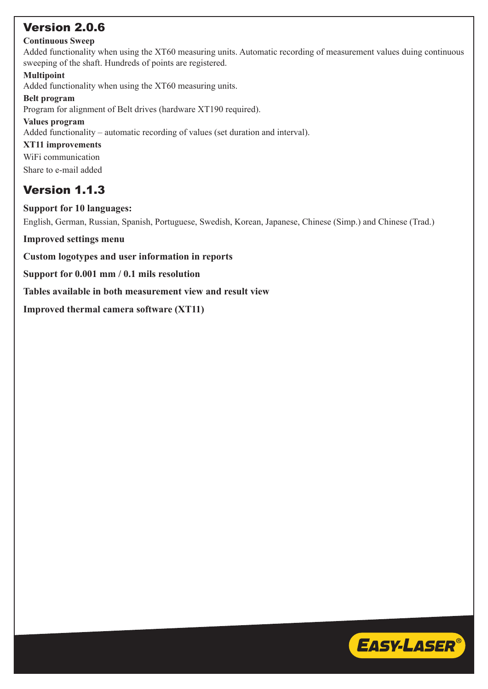### Version 2.0.6

#### **Continuous Sweep**

Added functionality when using the XT60 measuring units. Automatic recording of measurement values duing continuous sweeping of the shaft. Hundreds of points are registered.

#### **Multipoint**

Added functionality when using the XT60 measuring units.

#### **Belt program**

Program for alignment of Belt drives (hardware XT190 required).

#### **Values program**

Added functionality – automatic recording of values (set duration and interval).

#### **XT11 improvements**

WiFi communication

Share to e-mail added

### Version 1.1.3

#### **Support for 10 languages:**

English, German, Russian, Spanish, Portuguese, Swedish, Korean, Japanese, Chinese (Simp.) and Chinese (Trad.)

**Improved settings menu**

**Custom logotypes and user information in reports**

**Support for 0.001 mm / 0.1 mils resolution**

**Tables available in both measurement view and result view**

**Improved thermal camera software (XT11)**

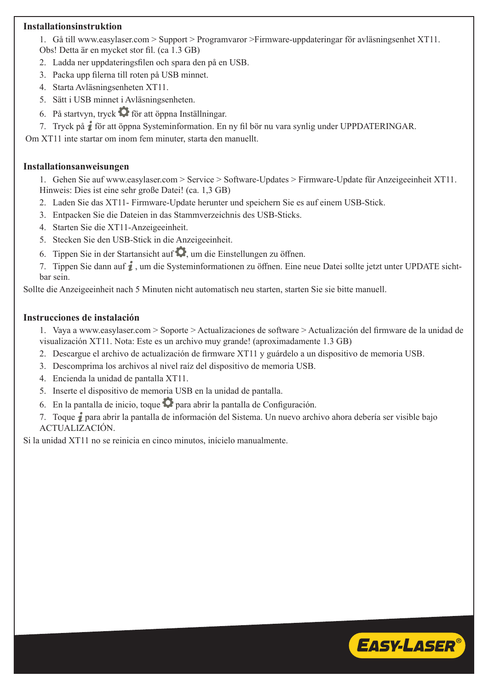#### **Installationsinstruktion**

1. Gå till www.easylaser.com > Support > Programvaror >Firmware-uppdateringar för avläsningsenhet XT11. Obs! Detta är en mycket stor fil. (ca 1.3 GB)

- 2. Ladda ner uppdateringsfilen och spara den på en USB.
- 3. Packa upp filerna till roten på USB minnet.
- 4. Starta Avläsningsenheten XT11.
- 5. Sätt i USB minnet i Avläsningsenheten.
- 6. På startvyn, tryck  $\bullet$  för att öppna Inställningar.
- 7. Tryck på  $\mathbf{\hat{i}}$  för att öppna Systeminformation. En ny fil bör nu vara synlig under UPPDATERINGAR.

Om XT11 inte startar om inom fem minuter, starta den manuellt.

#### **Installationsanweisungen**

1. Gehen Sie auf www.easylaser.com > Service > Software-Updates > Firmware-Update für Anzeigeeinheit XT11. Hinweis: Dies ist eine sehr große Datei! (ca. 1,3 GB)

- 2. Laden Sie das XT11- Firmware-Update herunter und speichern Sie es auf einem USB-Stick.
- 3. Entpacken Sie die Dateien in das Stammverzeichnis des USB-Sticks.
- 4. Starten Sie die XT11-Anzeigeeinheit.
- 5. Stecken Sie den USB-Stick in die Anzeigeeinheit.
- 6. Tippen Sie in der Startansicht auf  $\bullet$ , um die Einstellungen zu öffnen.
- 7. Tippen Sie dann auf  $\hat{i}$ , um die Systeminformationen zu öffnen. Eine neue Datei sollte jetzt unter UPDATE sichtbar sein.

Sollte die Anzeigeeinheit nach 5 Minuten nicht automatisch neu starten, starten Sie sie bitte manuell.

#### **Instrucciones de instalación**

 1. Vaya a www.easylaser.com > Soporte > Actualizaciones de software > Actualización del firmware de la unidad de visualización XT11. Nota: Este es un archivo muy grande! (aproximadamente 1.3 GB)

- 2. Descargue el archivo de actualización de firmware XT11 y guárdelo a un dispositivo de memoria USB.
- 3. Descomprima los archivos al nivel raíz del dispositivo de memoria USB.
- 4. Encienda la unidad de pantalla XT11.
- 5. Inserte el dispositivo de memoria USB en la unidad de pantalla.
- 6. En la pantalla de inicio, toque  $\bullet$  para abrir la pantalla de Configuración.

7. Toque *i* para abrir la pantalla de información del Sistema. Un nuevo archivo ahora debería ser visible bajo ACTUALIZACIÓN.

Si la unidad XT11 no se reinicia en cinco minutos, inícielo manualmente.